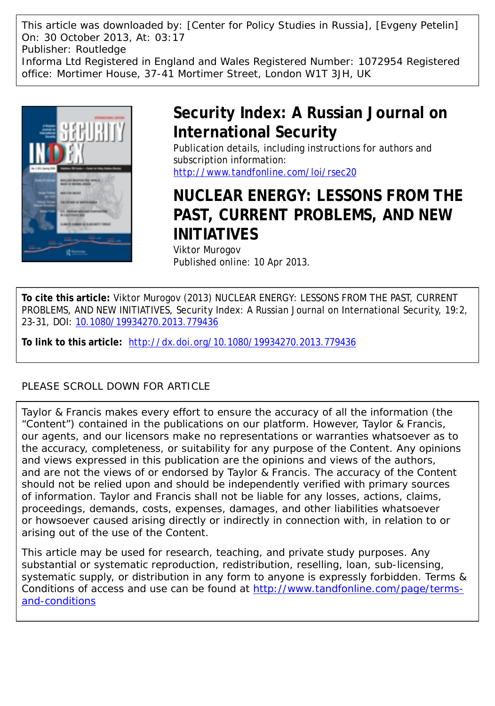This article was downloaded by: [Center for Policy Studies in Russia], [Evgeny Petelin] On: 30 October 2013, At: 03:17 Publisher: Routledge Informa Ltd Registered in England and Wales Registered Number: 1072954 Registered office: Mortimer House, 37-41 Mortimer Street, London W1T 3JH, UK



## **Security Index: A Russian Journal on International Security**

Publication details, including instructions for authors and subscription information: <http://www.tandfonline.com/loi/rsec20>

# **NUCLEAR ENERGY: LESSONS FROM THE PAST, CURRENT PROBLEMS, AND NEW INITIATIVES**

Viktor Murogov Published online: 10 Apr 2013.

**To cite this article:** Viktor Murogov (2013) NUCLEAR ENERGY: LESSONS FROM THE PAST, CURRENT PROBLEMS, AND NEW INITIATIVES, Security Index: A Russian Journal on International Security, 19:2, 23-31, DOI: [10.1080/19934270.2013.779436](http://www.tandfonline.com/action/showCitFormats?doi=10.1080/19934270.2013.779436)

**To link to this article:** <http://dx.doi.org/10.1080/19934270.2013.779436>

## PLEASE SCROLL DOWN FOR ARTICLE

Taylor & Francis makes every effort to ensure the accuracy of all the information (the "Content") contained in the publications on our platform. However, Taylor & Francis, our agents, and our licensors make no representations or warranties whatsoever as to the accuracy, completeness, or suitability for any purpose of the Content. Any opinions and views expressed in this publication are the opinions and views of the authors, and are not the views of or endorsed by Taylor & Francis. The accuracy of the Content should not be relied upon and should be independently verified with primary sources of information. Taylor and Francis shall not be liable for any losses, actions, claims, proceedings, demands, costs, expenses, damages, and other liabilities whatsoever or howsoever caused arising directly or indirectly in connection with, in relation to or arising out of the use of the Content.

This article may be used for research, teaching, and private study purposes. Any substantial or systematic reproduction, redistribution, reselling, loan, sub-licensing, systematic supply, or distribution in any form to anyone is expressly forbidden. Terms & Conditions of access and use can be found at [http://www.tandfonline.com/page/terms](http://www.tandfonline.com/page/terms-and-conditions)[and-conditions](http://www.tandfonline.com/page/terms-and-conditions)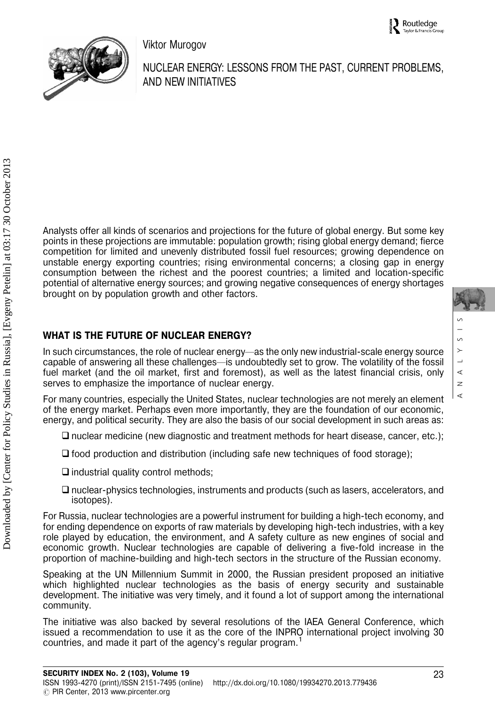



Viktor Murogov

NUCLEAR ENERGY: LESSONS FROM THE PAST, CURRENT PROBLEMS, AND NEW INITIATIVES

Analysts offer all kinds of scenarios and projections for the future of global energy. But some key points in these projections are immutable: population growth; rising global energy demand; fierce competition for limited and unevenly distributed fossil fuel resources; growing dependence on unstable energy exporting countries; rising environmental concerns; a closing gap in energy consumption between the richest and the poorest countries; a limited and location-specific potential of alternative energy sources; and growing negative consequences of energy shortages brought on by population growth and other factors.

### WHAT IS THE FUTURE OF NUCLEAR ENERGY?

In such circumstances, the role of nuclear energy—as the only new industrial-scale energy source capable of answering all these challenges—is undoubtedly set to grow. The volatility of the fossil fuel market (and the oil market, first and foremost), as well as the latest financial crisis, only serves to emphasize the importance of nuclear energy.

For many countries, especially the United States, nuclear technologies are not merely an element of the energy market. Perhaps even more importantly, they are the foundation of our economic, energy, and political security. They are also the basis of our social development in such areas as:

- $\Box$  nuclear medicine (new diagnostic and treatment methods for heart disease, cancer, etc.);
- $\Box$  food production and distribution (including safe new techniques of food storage);
- $\Box$  industrial quality control methods;
- $\square$  nuclear-physics technologies, instruments and products (such as lasers, accelerators, and isotopes).

For Russia, nuclear technologies are a powerful instrument for building a high-tech economy, and for ending dependence on exports of raw materials by developing high-tech industries, with a key role played by education, the environment, and A safety culture as new engines of social and economic growth. Nuclear technologies are capable of delivering a five-fold increase in the proportion of machine-building and high-tech sectors in the structure of the Russian economy.

Speaking at the UN Millennium Summit in 2000, the Russian president proposed an initiative which highlighted nuclear technologies as the basis of energy security and sustainable development. The initiative was very timely, and it found a lot of support among the international community.

The initiative was also backed by several resolutions of the IAEA General Conference, which issued a recommendation to use it as the core of the INPRO international project involving 30 countries, and made it part of the agency's regular program.<sup>1</sup>

ANALYSIS

 $\circ$  $\rightarrow$  $\overline{\phantom{a}}$  $\prec$  $\overline{z}$ ∣ ∢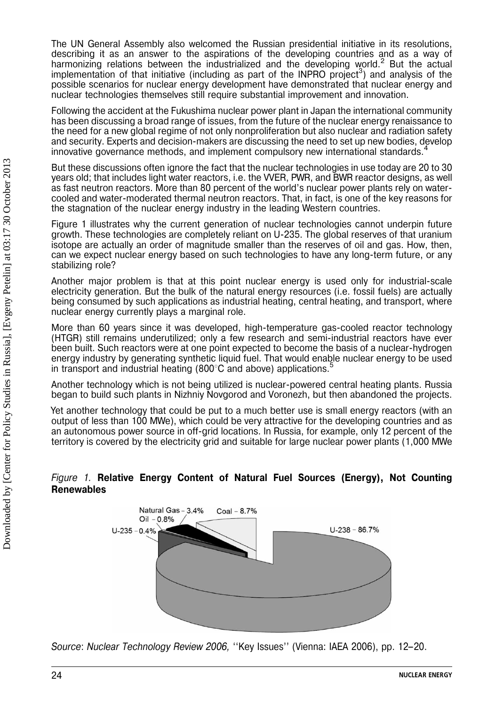The UN General Assembly also welcomed the Russian presidential initiative in its resolutions, describing it as an answer to the aspirations of the developing countries and as a way of harmonizing relations between the industrialized and the developing world.<sup>2</sup> But the actual implementation of that initiative (including as part of the INPRO project<sup>3</sup>) and analysis of the possible scenarios for nuclear energy development have demonstrated that nuclear energy and nuclear technologies themselves still require substantial improvement and innovation.

Following the accident at the Fukushima nuclear power plant in Japan the international community has been discussing a broad range of issues, from the future of the nuclear energy renaissance to the need for a new global regime of not only nonproliferation but also nuclear and radiation safety and security. Experts and decision-makers are discussing the need to set up new bodies, develop innovative governance methods, and implement compulsory new international standards.<sup>4</sup>

But these discussions often ignore the fact that the nuclear technologies in use today are 20 to 30 years old; that includes light water reactors, i.e. the VVER, PWR, and BWR reactor designs, as well as fast neutron reactors. More than 80 percent of the world's nuclear power plants rely on watercooled and water-moderated thermal neutron reactors. That, in fact, is one of the key reasons for the stagnation of the nuclear energy industry in the leading Western countries.

Figure 1 illustrates why the current generation of nuclear technologies cannot underpin future growth. These technologies are completely reliant on U-235. The global reserves of that uranium isotope are actually an order of magnitude smaller than the reserves of oil and gas. How, then, can we expect nuclear energy based on such technologies to have any long-term future, or any stabilizing role?

Another major problem is that at this point nuclear energy is used only for industrial-scale electricity generation. But the bulk of the natural energy resources (i.e. fossil fuels) are actually being consumed by such applications as industrial heating, central heating, and transport, where nuclear energy currently plays a marginal role.

More than 60 years since it was developed, high-temperature gas-cooled reactor technology (HTGR) still remains underutilized; only a few research and semi-industrial reactors have ever been built. Such reactors were at one point expected to become the basis of a nuclear-hydrogen energy industry by generating synthetic liquid fuel. That would enable nuclear energy to be used in transport and industrial heating  $(800^{\circ}$ C and above) applications.

Another technology which is not being utilized is nuclear-powered central heating plants. Russia began to build such plants in Nizhniy Novgorod and Voronezh, but then abandoned the projects.

Yet another technology that could be put to a much better use is small energy reactors (with an output of less than 100 MWe), which could be very attractive for the developing countries and as an autonomous power source in off-grid locations. In Russia, for example, only 12 percent of the territory is covered by the electricity grid and suitable for large nuclear power plants (1,000 MWe

#### Figure 1. Relative Energy Content of Natural Fuel Sources (Energy), Not Counting Renewables



Source: Nuclear Technology Review 2006, ''Key Issues'' (Vienna: IAEA 2006), pp. 12-20.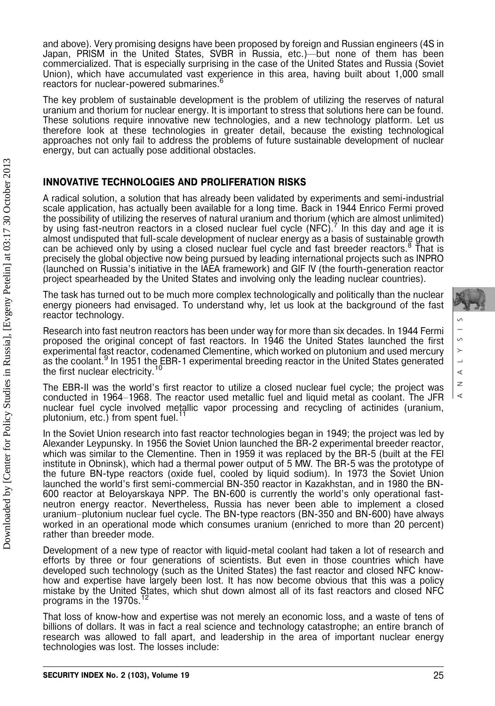and above). Very promising designs have been proposed by foreign and Russian engineers (4S in Japan, PRISM in the United States, SVBR in Russia, etc.)—but none of them has been commercialized. That is especially surprising in the case of the United States and Russia (Soviet Union), which have accumulated vast experience in this area, having built about 1,000 small reactors for nuclear-powered submarines.

The key problem of sustainable development is the problem of utilizing the reserves of natural uranium and thorium for nuclear energy. It is important to stress that solutions here can be found. These solutions require innovative new technologies, and a new technology platform. Let us therefore look at these technologies in greater detail, because the existing technological approaches not only fail to address the problems of future sustainable development of nuclear energy, but can actually pose additional obstacles.

#### INNOVATIVE TECHNOLOGIES AND PROLIFERATION RISKS

A radical solution, a solution that has already been validated by experiments and semi-industrial scale application, has actually been available for a long time. Back in 1944 Enrico Fermi proved the possibility of utilizing the reserves of natural uranium and thorium (which are almost unlimited) by using fast-neutron reactors in a closed nuclear fuel cycle  $(NFC)$ . In this day and age it is almost undisputed that full-scale development of nuclear energy as a basis of sustainable growth can be achieved only by using a closed nuclear fuel cycle and fast breeder reactors.<sup>8</sup> That is precisely the global objective now being pursued by leading international projects such as INPRO (launched on Russia's initiative in the IAEA framework) and GIF IV (the fourth-generation reactor project spearheaded by the United States and involving only the leading nuclear countries).

The task has turned out to be much more complex technologically and politically than the nuclear energy pioneers had envisaged. To understand why, let us look at the background of the fast reactor technology.

Research into fast neutron reactors has been under way for more than six decades. In 1944 Fermi proposed the original concept of fast reactors. In 1946 the United States launched the first experimental fast reactor, codenamed Clementine, which worked on plutonium and used mercury as the coolant.<sup>9</sup> In 1951 the EBR-1 experimental breeding reactor in the United States generated the first nuclear electricity.<sup>10</sup>

The EBR-II was the world's first reactor to utilize a closed nuclear fuel cycle; the project was conducted in 1964-1968. The reactor used metallic fuel and liquid metal as coolant. The JFR nuclear fuel cycle involved metallic vapor processing and recycling of actinides (uranium, plutonium, etc.) from spent fuel.<sup>11</sup>

In the Soviet Union research into fast reactor technologies began in 1949; the project was led by Alexander Leypunsky. In 1956 the Soviet Union launched the BR-2 experimental breeder reactor, which was similar to the Clementine. Then in 1959 it was replaced by the BR-5 (built at the FEI institute in Obninsk), which had a thermal power output of 5 MW. The BR-5 was the prototype of the future BN-type reactors (oxide fuel, cooled by liquid sodium). In 1973 the Soviet Union launched the world's first semi-commercial BN-350 reactor in Kazakhstan, and in 1980 the BN-600 reactor at Beloyarskaya NPP. The BN-600 is currently the world's only operational fastneutron energy reactor. Nevertheless, Russia has never been able to implement a closed uranium-plutonium nuclear fuel cycle. The BN-type reactors (BN-350 and BN-600) have always worked in an operational mode which consumes uranium (enriched to more than 20 percent) rather than breeder mode.

Development of a new type of reactor with liquid-metal coolant had taken a lot of research and efforts by three or four generations of scientists. But even in those countries which have developed such technology (such as the United States) the fast reactor and closed NFC knowhow and expertise have largely been lost. It has now become obvious that this was a policy mistake by the United States, which shut down almost all of its fast reactors and closed NFC<br>programs in the 1970s.<sup>12</sup>

That loss of know-how and expertise was not merely an economic loss, and a waste of tens of billions of dollars. It was in fact a real science and technology catastrophe; an entire branch of research was allowed to fall apart, and leadership in the area of important nuclear energy technologies was lost. The losses include:

Downloaded by [Center for Policy Studies in Russia], [Evgeny Petelin] at 03:17 30 October 2013 Downloaded by [Center for Policy Studies in Russia], [Evgeny Petelin] at 03:17 30 October 2013

 $\circ$  $\rightarrow$  $\overline{\phantom{a}}$  $\prec$  $\overline{z}$ | ⊲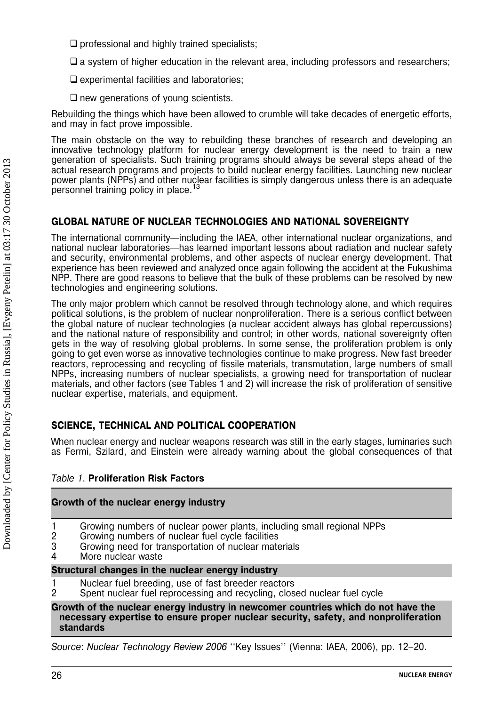- $\square$  professional and highly trained specialists;
- $\Box$  a system of higher education in the relevant area, including professors and researchers;
- $\Box$  experimental facilities and laboratories:
- $\square$  new generations of young scientists.

Rebuilding the things which have been allowed to crumble will take decades of energetic efforts, and may in fact prove impossible.

The main obstacle on the way to rebuilding these branches of research and developing an innovative technology platform for nuclear energy development is the need to train a new generation of specialists. Such training programs should always be several steps ahead of the actual research programs and projects to build nuclear energy facilities. Launching new nuclear power plants (NPPs) and other nuclear facilities is simply dangerous unless there is an adequate personnel training policy in place.

### GLOBAL NATURE OF NUCLEAR TECHNOLOGIES AND NATIONAL SOVEREIGNTY

The international community-including the IAEA, other international nuclear organizations, and national nuclear laboratories—has learned important lessons about radiation and nuclear safety and security, environmental problems, and other aspects of nuclear energy development. That experience has been reviewed and analyzed once again following the accident at the Fukushima NPP. There are good reasons to believe that the bulk of these problems can be resolved by new technologies and engineering solutions.

The only major problem which cannot be resolved through technology alone, and which requires political solutions, is the problem of nuclear nonproliferation. There is a serious conflict between the global nature of nuclear technologies (a nuclear accident always has global repercussions) and the national nature of responsibility and control; in other words, national sovereignty often gets in the way of resolving global problems. In some sense, the proliferation problem is only going to get even worse as innovative technologies continue to make progress. New fast breeder reactors, reprocessing and recycling of fissile materials, transmutation, large numbers of small NPPs, increasing numbers of nuclear specialists, a growing need for transportation of nuclear materials, and other factors (see Tables 1 and 2) will increase the risk of proliferation of sensitive nuclear expertise, materials, and equipment.

#### SCIENCE, TECHNICAL AND POLITICAL COOPERATION

When nuclear energy and nuclear weapons research was still in the early stages, luminaries such as Fermi, Szilard, and Einstein were already warning about the global consequences of that

#### Table 1. Proliferation Risk Factors

#### Growth of the nuclear energy industry

- 1 Growing numbers of nuclear power plants, including small regional NPPs
- 2 Growing numbers of nuclear fuel cycle facilities
- 3 Growing need for transportation of nuclear materials<br>4 More nuclear waste
- More nuclear waste

#### Structural changes in the nuclear energy industry

- 1 Nuclear fuel breeding, use of fast breeder reactors
- 2 Spent nuclear fuel reprocessing and recycling, closed nuclear fuel cycle

#### Growth of the nuclear energy industry in newcomer countries which do not have the necessary expertise to ensure proper nuclear security, safety, and nonproliferation standards

Source: Nuclear Technology Review 2006 ''Key Issues'' (Vienna: IAEA, 2006), pp. 12-20.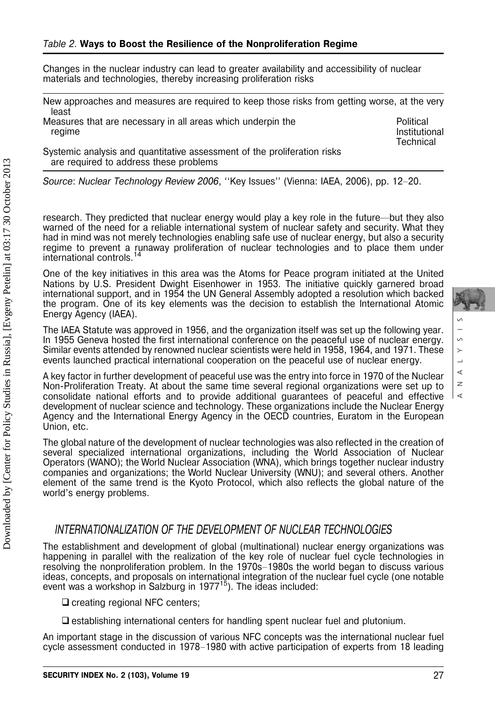Changes in the nuclear industry can lead to greater availability and accessibility of nuclear materials and technologies, thereby increasing proliferation risks

New approaches and measures are required to keep those risks from getting worse, at the very least

Measures that are necessary in all areas which underpin the regime

Political Institutional **Technical** 

Systemic analysis and quantitative assessment of the proliferation risks are required to address these problems

Source: Nuclear Technology Review 2006, ''Key Issues'' (Vienna: IAEA, 2006), pp. 12-20.

research. They predicted that nuclear energy would play a key role in the future—but they also warned of the need for a reliable international system of nuclear safety and security. What they had in mind was not merely technologies enabling safe use of nuclear energy, but also a security regime to prevent a runaway proliferation of nuclear technologies and to place them under<br>international controls.<sup>14</sup>

One of the key initiatives in this area was the Atoms for Peace program initiated at the United Nations by U.S. President Dwight Eisenhower in 1953. The initiative quickly garnered broad international support, and in 1954 the UN General Assembly adopted a resolution which backed the program. One of its key elements was the decision to establish the International Atomic Energy Agency (IAEA).

The IAEA Statute was approved in 1956, and the organization itself was set up the following year. In 1955 Geneva hosted the first international conference on the peaceful use of nuclear energy. Similar events attended by renowned nuclear scientists were held in 1958, 1964, and 1971. These events launched practical international cooperation on the peaceful use of nuclear energy.

A key factor in further development of peaceful use was the entry into force in 1970 of the Nuclear Non-Proliferation Treaty. At about the same time several regional organizations were set up to consolidate national efforts and to provide additional guarantees of peaceful and effective development of nuclear science and technology. These organizations include the Nuclear Energy Agency and the International Energy Agency in the OECD countries, Euratom in the European Union, etc.

The global nature of the development of nuclear technologies was also reflected in the creation of several specialized international organizations, including the World Association of Nuclear Operators (WANO); the World Nuclear Association (WNA), which brings together nuclear industry companies and organizations; the World Nuclear University (WNU); and several others. Another element of the same trend is the Kyoto Protocol, which also reflects the global nature of the world's energy problems.

## INTERNATIONALIZATION OF THE DEVELOPMENT OF NUCLEAR TECHNOLOGIES

The establishment and development of global (multinational) nuclear energy organizations was happening in parallel with the realization of the key role of nuclear fuel cycle technologies in resolving the nonproliferation problem. In the 1970s-1980s the world began to discuss various ideas, concepts, and proposals on international integration of the nuclear fuel cycle (one notable event was a workshop in Salzburg in 1977<sup>15</sup>). The ideas included:

 $\square$  creating regional NFC centers;

 $\square$  establishing international centers for handling spent nuclear fuel and plutonium.

An important stage in the discussion of various NFC concepts was the international nuclear fuel cycle assessment conducted in 1978-1980 with active participation of experts from 18 leading ANALYSIS

 $\circ$  $\circ$  $\rightarrow$  $\overline{\phantom{a}}$  $\prec$  $\overline{z}$  $\vert$   $\triangleleft$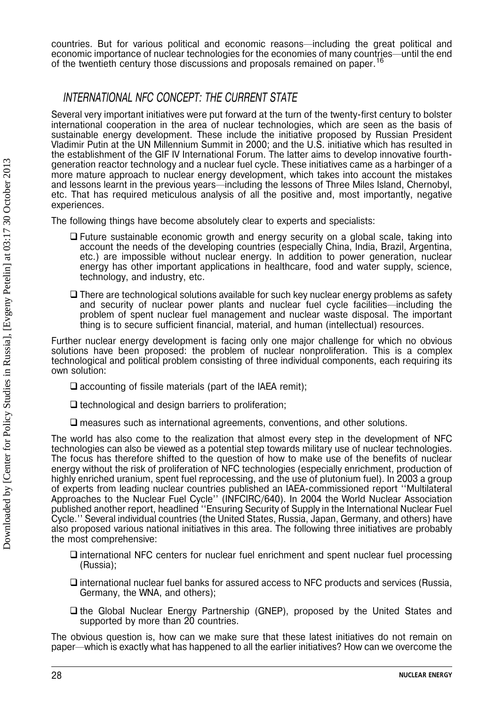countries. But for various political and economic reasons—including the great political and economic importance of nuclear technologies for the economies of many countries—until the end of the twentieth century those discussions and proposals remained on paper.<sup>1</sup>

## INTERNATIONAL NFC CONCEPT: THE CURRENT STATE

Several very important initiatives were put forward at the turn of the twenty-first century to bolster international cooperation in the area of nuclear technologies, which are seen as the basis of sustainable energy development. These include the initiative proposed by Russian President Vladimir Putin at the UN Millennium Summit in 2000; and the U.S. initiative which has resulted in the establishment of the GIF IV International Forum. The latter aims to develop innovative fourthgeneration reactor technology and a nuclear fuel cycle. These initiatives came as a harbinger of a more mature approach to nuclear energy development, which takes into account the mistakes and lessons learnt in the previous years—including the lessons of Three Miles Island, Chernobyl, etc. That has required meticulous analysis of all the positive and, most importantly, negative experiences.

The following things have become absolutely clear to experts and specialists:

- $\square$  Future sustainable economic growth and energy security on a global scale, taking into account the needs of the developing countries (especially China, India, Brazil, Argentina, etc.) are impossible without nuclear energy. In addition to power generation, nuclear energy has other important applications in healthcare, food and water supply, science, technology, and industry, etc.
- $\square$  There are technological solutions available for such key nuclear energy problems as safety and security of nuclear power plants and nuclear fuel cycle facilities—including the problem of spent nuclear fuel management and nuclear waste disposal. The important thing is to secure sufficient financial, material, and human (intellectual) resources.

Further nuclear energy development is facing only one major challenge for which no obvious solutions have been proposed: the problem of nuclear nonproliferation. This is a complex technological and political problem consisting of three individual components, each requiring its own solution:

- $\square$  accounting of fissile materials (part of the IAEA remit);
- $\Box$  technological and design barriers to proliferation;
- $\square$  measures such as international agreements, conventions, and other solutions.

The world has also come to the realization that almost every step in the development of NFC technologies can also be viewed as a potential step towards military use of nuclear technologies. The focus has therefore shifted to the question of how to make use of the benefits of nuclear energy without the risk of proliferation of NFC technologies (especially enrichment, production of highly enriched uranium, spent fuel reprocessing, and the use of plutonium fuel). In 2003 a group of experts from leading nuclear countries published an IAEA-commissioned report ''Multilateral Approaches to the Nuclear Fuel Cycle'' (INFCIRC/640). In 2004 the World Nuclear Association published another report, headlined ''Ensuring Security of Supply in the International Nuclear Fuel Cycle.'' Several individual countries (the United States, Russia, Japan, Germany, and others) have also proposed various national initiatives in this area. The following three initiatives are probably the most comprehensive:

- $\square$  international NFC centers for nuclear fuel enrichment and spent nuclear fuel processing (Russia);
- $\square$  international nuclear fuel banks for assured access to NFC products and services (Russia, Germany, the WNA, and others);
- $\square$  the Global Nuclear Energy Partnership (GNEP), proposed by the United States and supported by more than 20 countries.

The obvious question is, how can we make sure that these latest initiatives do not remain on paper—which is exactly what has happened to all the earlier initiatives? How can we overcome the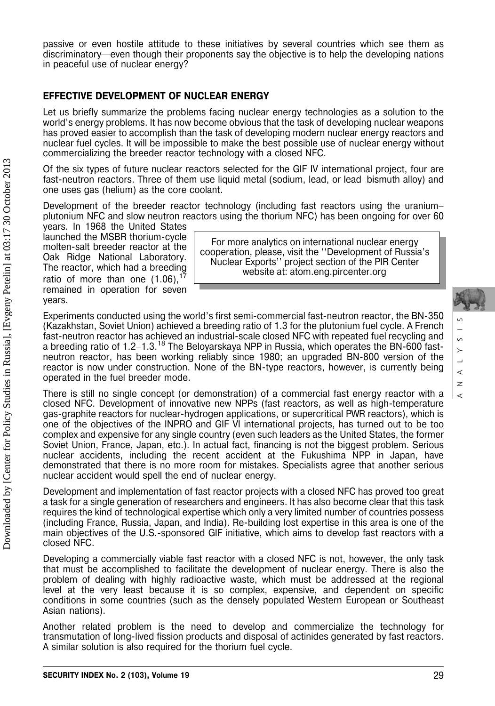passive or even hostile attitude to these initiatives by several countries which see them as discriminatory—even though their proponents say the objective is to help the developing nations in peaceful use of nuclear energy?

#### EFFECTIVE DEVELOPMENT OF NUCLEAR ENERGY

Let us briefly summarize the problems facing nuclear energy technologies as a solution to the world's energy problems. It has now become obvious that the task of developing nuclear weapons has proved easier to accomplish than the task of developing modern nuclear energy reactors and nuclear fuel cycles. It will be impossible to make the best possible use of nuclear energy without commercializing the breeder reactor technology with a closed NFC.

Of the six types of future nuclear reactors selected for the GIF IV international project, four are fast-neutron reactors. Three of them use liquid metal (sodium, lead, or lead-bismuth alloy) and one uses gas (helium) as the core coolant.

Development of the breeder reactor technology (including fast reactors using the uranium plutonium NFC and slow neutron reactors using the thorium NFC) has been ongoing for over 60

years. In 1968 the United States launched the MSBR thorium-cycle molten-salt breeder reactor at the Oak Ridge National Laboratory. The reactor, which had a breeding ratio of more than one  $(1.06)$ ,  $^{17}$ remained in operation for seven years.

For more analytics on international nuclear energy cooperation, please, visit the ''Development of Russia's Nuclear Exports'' project section of the PIR Center website at: [atom.eng.pircenter.org](http://atom.eng.pircenter.org)

Experiments conducted using the world's first semi-commercial fast-neutron reactor, the BN-350 (Kazakhstan, Soviet Union) achieved a breeding ratio of 1.3 for the plutonium fuel cycle. A French fast-neutron reactor has achieved an industrial-scale closed NFC with repeated fuel recycling and a breeding ratio of 1.2–1.3.<sup>18</sup> The Beloyarskaya NPP in Russia, which operates the BN-600 fastneutron reactor, has been working reliably since 1980; an upgraded BN-800 version of the reactor is now under construction. None of the BN-type reactors, however, is currently being operated in the fuel breeder mode.

There is still no single concept (or demonstration) of a commercial fast energy reactor with a closed NFC. Development of innovative new NPPs (fast reactors, as well as high-temperature gas-graphite reactors for nuclear-hydrogen applications, or supercritical PWR reactors), which is one of the objectives of the INPRO and GIF VI international projects, has turned out to be too complex and expensive for any single country (even such leaders as the United States, the former Soviet Union, France, Japan, etc.). In actual fact, financing is not the biggest problem. Serious nuclear accidents, including the recent accident at the Fukushima NPP in Japan, have demonstrated that there is no more room for mistakes. Specialists agree that another serious nuclear accident would spell the end of nuclear energy.

Development and implementation of fast reactor projects with a closed NFC has proved too great a task for a single generation of researchers and engineers. It has also become clear that this task requires the kind of technological expertise which only a very limited number of countries possess (including France, Russia, Japan, and India). Re-building lost expertise in this area is one of the main objectives of the U.S.-sponsored GIF initiative, which aims to develop fast reactors with a closed NFC.

Developing a commercially viable fast reactor with a closed NFC is not, however, the only task that must be accomplished to facilitate the development of nuclear energy. There is also the problem of dealing with highly radioactive waste, which must be addressed at the regional level at the very least because it is so complex, expensive, and dependent on specific conditions in some countries (such as the densely populated Western European or Southeast Asian nations).

Another related problem is the need to develop and commercialize the technology for transmutation of long-lived fission products and disposal of actinides generated by fast reactors. A similar solution is also required for the thorium fuel cycle.

ANALYSIS

 $\circ$  $\rightarrow$  $\overline{\phantom{a}}$  $\prec$  $\overline{z}$  $\prec$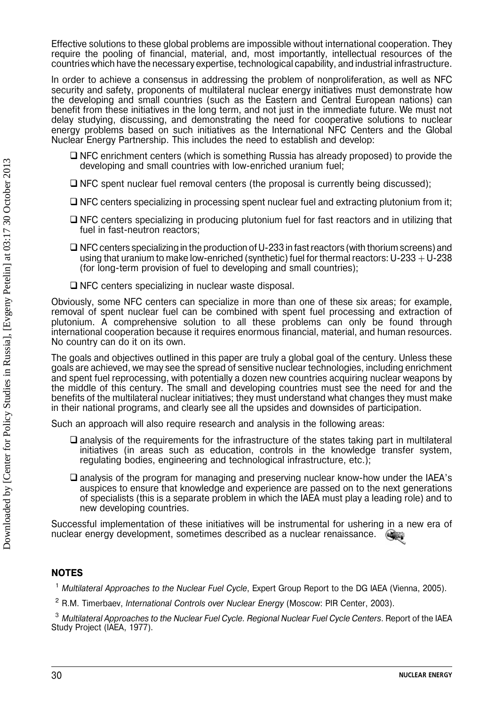Effective solutions to these global problems are impossible without international cooperation. They require the pooling of financial, material, and, most importantly, intellectual resources of the countries which have the necessary expertise, technological capability, and industrial infrastructure.

In order to achieve a consensus in addressing the problem of nonproliferation, as well as NFC security and safety, proponents of multilateral nuclear energy initiatives must demonstrate how the developing and small countries (such as the Eastern and Central European nations) can benefit from these initiatives in the long term, and not just in the immediate future. We must not delay studying, discussing, and demonstrating the need for cooperative solutions to nuclear energy problems based on such initiatives as the International NFC Centers and the Global Nuclear Energy Partnership. This includes the need to establish and develop:

- $\square$  NFC enrichment centers (which is something Russia has already proposed) to provide the developing and small countries with low-enriched uranium fuel;
- $\Box$  NFC spent nuclear fuel removal centers (the proposal is currently being discussed);
- $\Box$  NFC centers specializing in processing spent nuclear fuel and extracting plutonium from it;
- $\Box$  NFC centers specializing in producing plutonium fuel for fast reactors and in utilizing that fuel in fast-neutron reactors;
- $\Box$  NFC centers specializing in the production of U-233 in fast reactors (with thorium screens) and using that uranium to make low-enriched (synthetic) fuel for thermal reactors:  $U-233+U-238$ (for long-term provision of fuel to developing and small countries);
- $\Box$  NFC centers specializing in nuclear waste disposal.

Obviously, some NFC centers can specialize in more than one of these six areas; for example, removal of spent nuclear fuel can be combined with spent fuel processing and extraction of plutonium. A comprehensive solution to all these problems can only be found through international cooperation because it requires enormous financial, material, and human resources. No country can do it on its own.

The goals and objectives outlined in this paper are truly a global goal of the century. Unless these goals are achieved, we may see the spread of sensitive nuclear technologies, including enrichment and spent fuel reprocessing, with potentially a dozen new countries acquiring nuclear weapons by the middle of this century. The small and developing countries must see the need for and the benefits of the multilateral nuclear initiatives; they must understand what changes they must make in their national programs, and clearly see all the upsides and downsides of participation.

Such an approach will also require research and analysis in the following areas:

- $\square$  analysis of the requirements for the infrastructure of the states taking part in multilateral initiatives (in areas such as education, controls in the knowledge transfer system, regulating bodies, engineering and technological infrastructure, etc.);
- $\square$  analysis of the program for managing and preserving nuclear know-how under the IAEA's auspices to ensure that knowledge and experience are passed on to the next generations of specialists (this is a separate problem in which the IAEA must play a leading role) and to new developing countries.

Successful implementation of these initiatives will be instrumental for ushering in a new era of nuclear energy development, sometimes described as a nuclear renaissance.

#### NOTES

<sup>1</sup> Multilateral Approaches to the Nuclear Fuel Cycle, Expert Group Report to the DG IAEA (Vienna, 2005).

<sup>2</sup> R.M. Timerbaev, International Controls over Nuclear Energy (Moscow: PIR Center, 2003).

<sup>3</sup> Multilateral Approaches to the Nuclear Fuel Cycle. Regional Nuclear Fuel Cycle Centers. Report of the IAEA Study Project (IAEA, 1977).